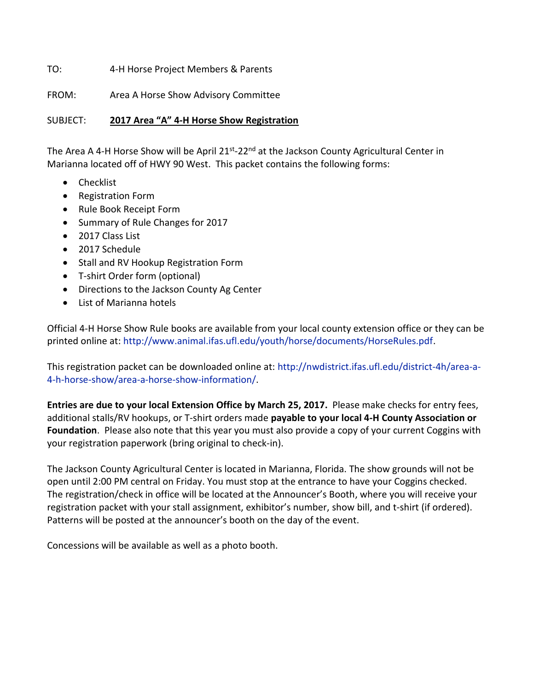TO: 4-H Horse Project Members & Parents

FROM: Area A Horse Show Advisory Committee

SUBJECT: **2017 Area "A" 4-H Horse Show Registration**

The Area A 4-H Horse Show will be April 21<sup>st</sup>-22<sup>nd</sup> at the Jackson County Agricultural Center in Marianna located off of HWY 90 West. This packet contains the following forms:

- Checklist
- Registration Form
- Rule Book Receipt Form
- Summary of Rule Changes for 2017
- 2017 Class List
- 2017 Schedule
- Stall and RV Hookup Registration Form
- T-shirt Order form (optional)
- Directions to the Jackson County Ag Center
- List of Marianna hotels

Official 4-H Horse Show Rule books are available from your local county extension office or they can be printed online at: [http://www.animal.ifas.ufl.edu/youth/horse/documents/HorseRules.pdf.](http://www.animal.ifas.ufl.edu/youth/horse/documents/HorseRules.pdf)

This registration packet can be downloaded online at: [http://nwdistrict.ifas.ufl.edu/district-4h/area-a-](http://nwdistrict.ifas.ufl.edu/district-4h/area-a-4-h-horse-show/area-a-horse-show-information/)[4-h-horse-show/area-a-horse-show-information/.](http://nwdistrict.ifas.ufl.edu/district-4h/area-a-4-h-horse-show/area-a-horse-show-information/)

**Entries are due to your local Extension Office by March 25, 2017.** Please make checks for entry fees, additional stalls/RV hookups, or T-shirt orders made **payable to your local 4-H County Association or Foundation**. Please also note that this year you must also provide a copy of your current Coggins with your registration paperwork (bring original to check-in).

The Jackson County Agricultural Center is located in Marianna, Florida. The show grounds will not be open until 2:00 PM central on Friday. You must stop at the entrance to have your Coggins checked. The registration/check in office will be located at the Announcer's Booth, where you will receive your registration packet with your stall assignment, exhibitor's number, show bill, and t-shirt (if ordered). Patterns will be posted at the announcer's booth on the day of the event.

Concessions will be available as well as a photo booth.